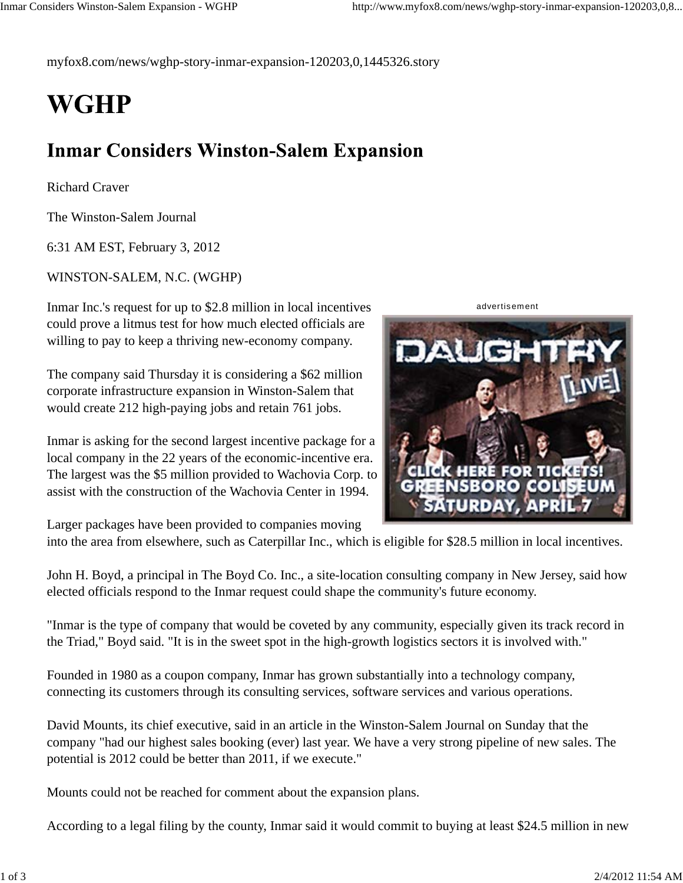myfox8.com/news/wghp-story-inmar-expansion-120203,0,1445326.story

## **WGHP**

## **Inmar Considers Winston-Salem Expansion**

Richard Craver

The Winston-Salem Journal

6:31 AM EST, February 3, 2012

WINSTON-SALEM, N.C. (WGHP)

Inmar Inc.'s request for up to \$2.8 million in local incentives could prove a litmus test for how much elected officials are willing to pay to keep a thriving new-economy company.

The company said Thursday it is considering a \$62 million corporate infrastructure expansion in Winston-Salem that would create 212 high-paying jobs and retain 761 jobs.

Inmar is asking for the second largest incentive package for a local company in the 22 years of the economic-incentive era. The largest was the \$5 million provided to Wachovia Corp. to assist with the construction of the Wachovia Center in 1994.

advertisement



Larger packages have been provided to companies moving

into the area from elsewhere, such as Caterpillar Inc., which is eligible for \$28.5 million in local incentives.

John H. Boyd, a principal in The Boyd Co. Inc., a site-location consulting company in New Jersey, said how elected officials respond to the Inmar request could shape the community's future economy.

"Inmar is the type of company that would be coveted by any community, especially given its track record in the Triad," Boyd said. "It is in the sweet spot in the high-growth logistics sectors it is involved with."

Founded in 1980 as a coupon company, Inmar has grown substantially into a technology company, connecting its customers through its consulting services, software services and various operations.

David Mounts, its chief executive, said in an article in the Winston-Salem Journal on Sunday that the company "had our highest sales booking (ever) last year. We have a very strong pipeline of new sales. The potential is 2012 could be better than 2011, if we execute."

Mounts could not be reached for comment about the expansion plans.

According to a legal filing by the county, Inmar said it would commit to buying at least \$24.5 million in new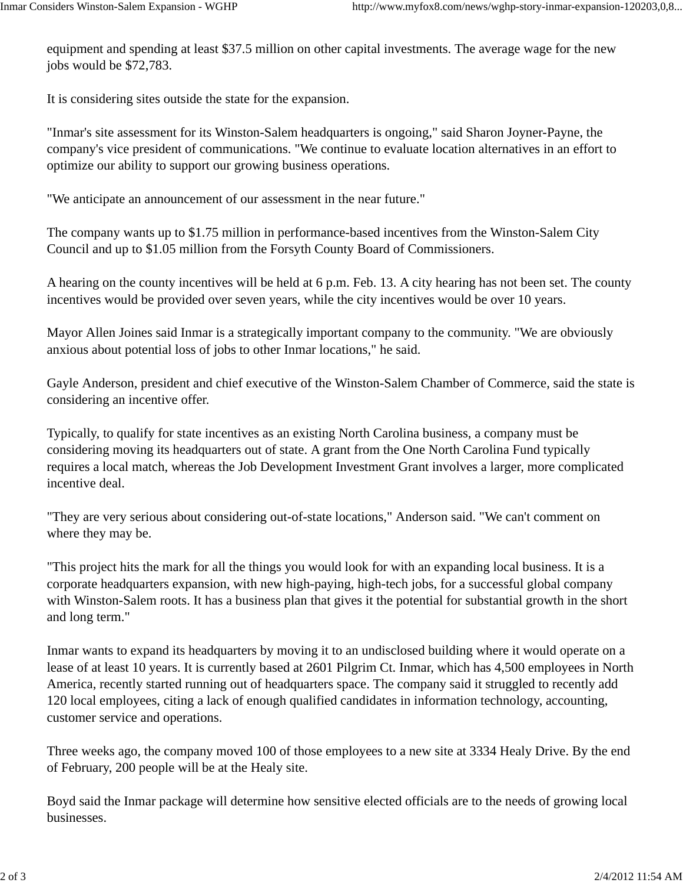equipment and spending at least \$37.5 million on other capital investments. The average wage for the new jobs would be \$72,783.

It is considering sites outside the state for the expansion.

"Inmar's site assessment for its Winston-Salem headquarters is ongoing," said Sharon Joyner-Payne, the company's vice president of communications. "We continue to evaluate location alternatives in an effort to optimize our ability to support our growing business operations.

"We anticipate an announcement of our assessment in the near future."

The company wants up to \$1.75 million in performance-based incentives from the Winston-Salem City Council and up to \$1.05 million from the Forsyth County Board of Commissioners.

A hearing on the county incentives will be held at 6 p.m. Feb. 13. A city hearing has not been set. The county incentives would be provided over seven years, while the city incentives would be over 10 years.

Mayor Allen Joines said Inmar is a strategically important company to the community. "We are obviously anxious about potential loss of jobs to other Inmar locations," he said.

Gayle Anderson, president and chief executive of the Winston-Salem Chamber of Commerce, said the state is considering an incentive offer.

Typically, to qualify for state incentives as an existing North Carolina business, a company must be considering moving its headquarters out of state. A grant from the One North Carolina Fund typically requires a local match, whereas the Job Development Investment Grant involves a larger, more complicated incentive deal.

"They are very serious about considering out-of-state locations," Anderson said. "We can't comment on where they may be.

"This project hits the mark for all the things you would look for with an expanding local business. It is a corporate headquarters expansion, with new high-paying, high-tech jobs, for a successful global company with Winston-Salem roots. It has a business plan that gives it the potential for substantial growth in the short and long term."

Inmar wants to expand its headquarters by moving it to an undisclosed building where it would operate on a lease of at least 10 years. It is currently based at 2601 Pilgrim Ct. Inmar, which has 4,500 employees in North America, recently started running out of headquarters space. The company said it struggled to recently add 120 local employees, citing a lack of enough qualified candidates in information technology, accounting, customer service and operations.

Three weeks ago, the company moved 100 of those employees to a new site at 3334 Healy Drive. By the end of February, 200 people will be at the Healy site.

Boyd said the Inmar package will determine how sensitive elected officials are to the needs of growing local businesses.